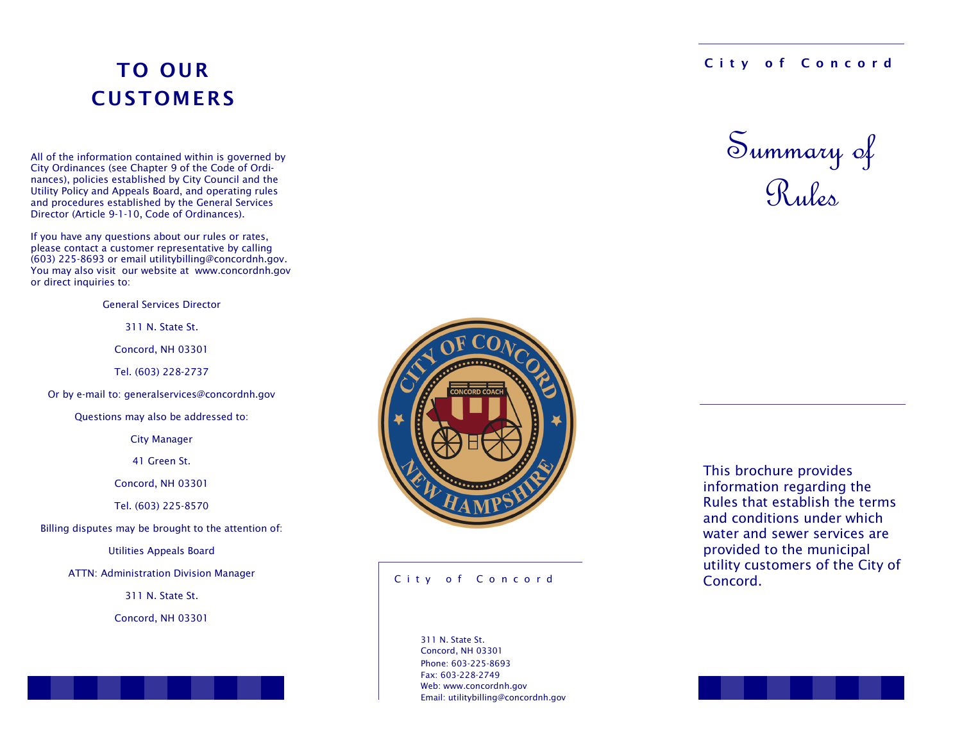# TO OUR **CUSTOMERS**

All of the information contained within is governed by City Ordinances (see Chapter 9 of the Code of Ordinances), policies established by City Council and the Utility Policy and Appeals Board, and operating rules and procedures established by the General Services Director (Article 9-1-10, Code of Ordinances).

If you have any questions about our rules or rates, please contact a customer representative by calling (603) 225-8693 or email utilitybilling@concordnh.gov. You may also visit our website at www.concordnh.gov or direct inquiries to:

General Services Director

311 N. State St.

Concord, NH 03301

Tel. (603) 228-2737

Or by e-mail to: generalservices@concordnh.gov

Questions may also be addressed to:

City Manager

41 Green St.

Concord, NH 03301

Tel. (603) 225-8570

Billing disputes may be brought to the attention of:

Utilities Appeals Board

ATTN: Administration Division Manager

311 N. State St.

Concord, NH 03301



#### City of Concord

Phone: 603-225-8693 Fax: 603-228-2749 Web: www.concordnh.gov Email: utilitybilling@concordnh.gov 311 N. State St. Concord, NH 03301

### City of Concord



This brochure provides information regarding the Rules that establish the terms and conditions under which water and sewer services are provided to the municipal utility customers of the City of Concord.